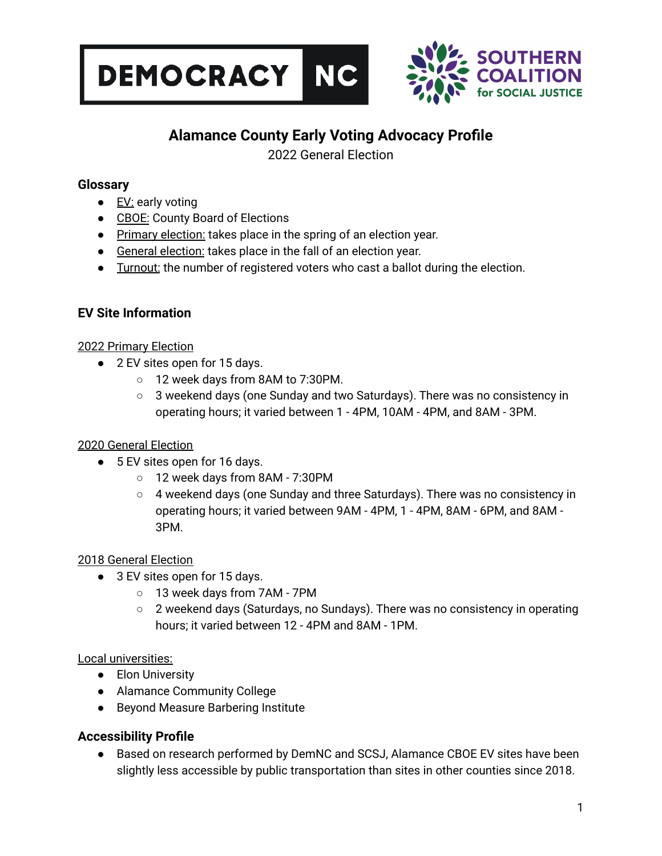



# **Alamance County Early Voting Advocacy Profile**

2022 General Election

## **Glossary**

- $\bullet$  **EV:** early voting
- CBOE: County Board of Elections
- Primary election: takes place in the spring of an election year.
- General election: takes place in the fall of an election year.
- **•** Turnout: the number of registered voters who cast a ballot during the election.

# **EV Site Information**

## 2022 Primary Election

- 2 EV sites open for 15 days.
	- 12 week days from 8AM to 7:30PM.
	- 3 weekend days (one Sunday and two Saturdays). There was no consistency in operating hours; it varied between 1 - 4PM, 10AM - 4PM, and 8AM - 3PM.

# 2020 General Election

- 5 EV sites open for 16 days.
	- 12 week days from 8AM 7:30PM
	- $\circ$  4 weekend days (one Sunday and three Saturdays). There was no consistency in operating hours; it varied between 9AM - 4PM, 1 - 4PM, 8AM - 6PM, and 8AM - 3PM.

## 2018 General Election

- 3 EV sites open for 15 days.
	- 13 week days from 7AM 7PM
	- 2 weekend days (Saturdays, no Sundays). There was no consistency in operating hours; it varied between 12 - 4PM and 8AM - 1PM.

## Local universities:

- Elon University
- Alamance Community College
- Beyond Measure Barbering Institute

# **Accessibility Profile**

● Based on research performed by DemNC and SCSJ, Alamance CBOE EV sites have been slightly less accessible by public transportation than sites in other counties since 2018.